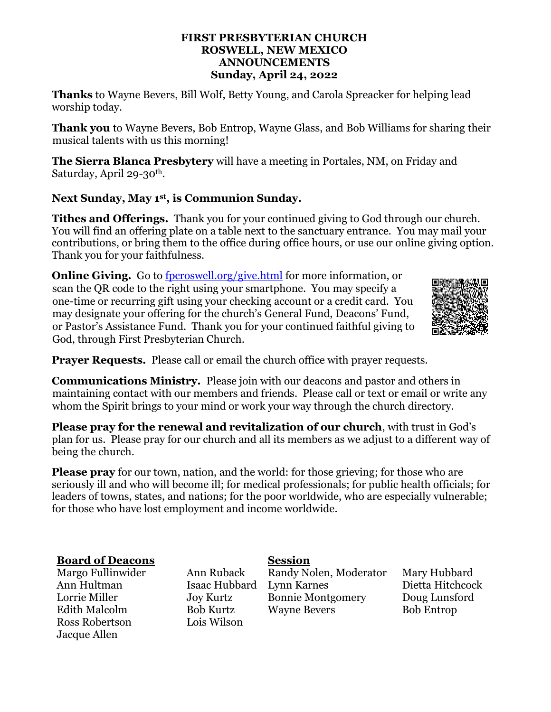### **FIRST PRESBYTERIAN CHURCH ROSWELL, NEW MEXICO ANNOUNCEMENTS Sunday, April 24, 2022**

**Thanks** to Wayne Bevers, Bill Wolf, Betty Young, and Carola Spreacker for helping lead worship today.

**Thank you** to Wayne Bevers, Bob Entrop, Wayne Glass, and Bob Williams for sharing their musical talents with us this morning!

**The Sierra Blanca Presbytery** will have a meeting in Portales, NM, on Friday and Saturday, April 29-30th.

# **Next Sunday, May 1st, is Communion Sunday.**

**Tithes and Offerings.** Thank you for your continued giving to God through our church. You will find an offering plate on a table next to the sanctuary entrance. You may mail your contributions, or bring them to the office during office hours, or use our online giving option. Thank you for your faithfulness.

**Online Giving.** Go to [fpcroswell.org/give.html](http://fpcroswell.org/give.html) for more information, or scan the QR code to the right using your smartphone. You may specify a one-time or recurring gift using your checking account or a credit card. You may designate your offering for the church's General Fund, Deacons' Fund, or Pastor's Assistance Fund. Thank you for your continued faithful giving to God, through First Presbyterian Church.



**Prayer Requests.** Please call or email the church office with prayer requests.

**Communications Ministry.** Please join with our deacons and pastor and others in maintaining contact with our members and friends. Please call or text or email or write any whom the Spirit brings to your mind or work your way through the church directory.

**Please pray for the renewal and revitalization of our church**, with trust in God's plan for us. Please pray for our church and all its members as we adjust to a different way of being the church.

**Please pray** for our town, nation, and the world: for those grieving; for those who are seriously ill and who will become ill; for medical professionals; for public health officials; for leaders of towns, states, and nations; for the poor worldwide, who are especially vulnerable; for those who have lost employment and income worldwide.

## **Board of Deacons Session**

Ross Robertson Lois Wilson Jacque Allen

Margo Fullinwider Ann Ruback Randy Nolen, Moderator Mary Hubbard Ann Hultman Isaac Hubbard Lynn Karnes Dietta Hitchcock Lorrie Miller Joy Kurtz Bonnie Montgomery Doug Lunsford Edith Malcolm Bob Kurtz Wayne Bevers Bob Entrop